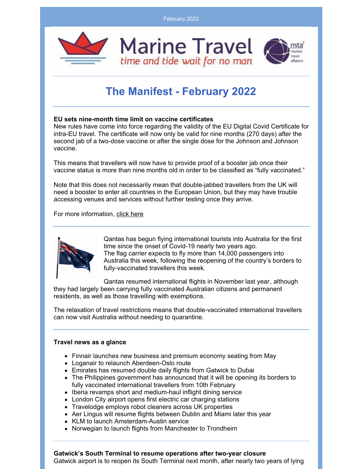February 2022



# **The Manifest - February 2022**

# **EU sets nine-month time limit on vaccine certificates**

New rules have come into force regarding the validity of the EU Digital Covid Certificate for intra-EU travel. The certificate will now only be valid for nine months (270 days) after the second jab of a two-dose vaccine or after the single dose for the Johnson and Johnson vaccine.

This means that travellers will now have to provide proof of a booster jab once their vaccine status is more than nine months old in order to be classified as "fully vaccinated."

Note that this does not necessarily mean that double-jabbed travellers from the UK will need a booster to enter all countries in the European Union, but they may have trouble accessing venues and services without further testing once they arrive.

For more information, [click](https://ec.europa.eu/commission/presscorner/detail/en/ip_21_6186) here



Qantas has begun flying international tourists into Australia for the first time since the onset of Covid-19 nearly two years ago. The flag carrier expects to fly more than 14,000 passengers into Australia this week, following the reopening of the country's borders to [fully-vaccinated](https://www.businesstraveller.com/business-travel/2022/02/07/australia-to-reopen-borders-to-fully-vaccinated-from-february-21/) travellers this week.

Qantas resumed [international](https://www.businesstraveller.com/business-travel/2021/11/01/qantas-resumes-international-flights/) flights in November last year, although they had largely been carrying fully vaccinated Australian citizens and permanent residents, as well as those travelling with exemptions.

The relaxation of travel restrictions means that double-vaccinated international travellers can now visit Australia without needing to quarantine.

## **Travel news as a glance**

- Finnair launches new business and premium economy seating from May
- Loganair to relaunch Aberdeen-Oslo route
- Emirates has resumed double daily flights from Gatwick to Dubai
- The Philippines government has announced that it will be opening its borders to fully vaccinated international travellers from 10th February
- Iberia revamps short and medium-haul inflight dining service
- London City airport opens first electric car charging stations
- Travelodge employs robot cleaners across UK properties
- Aer Lingus will resume flights between Dublin and Miami later this year
- KLM to launch Amsterdam-Austin service
- Norwegian to launch flights from Manchester to Trondheim

## **Gatwick's South Terminal to resume operations after two-year closure**

Gatwick airport is to reopen its South Terminal next month, after nearly two years of lying